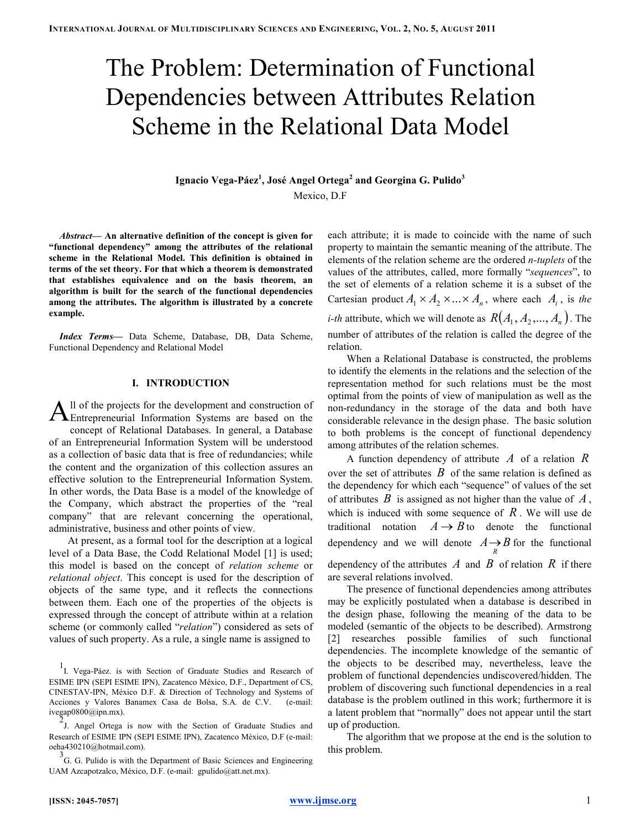# The Problem: Determination of Functional Dependencies between Attributes Relation Scheme in the Relational Data Model

Ignacio Vega-Páez<sup>1</sup>, José Angel Ortega $^{\rm 2}$  and Georgina G. Pulido $^{\rm 3}$ Mexico, D.F

Abstract— An alternative definition of the concept is given for "functional dependency" among the attributes of the relational scheme in the Relational Model. This definition is obtained in terms of the set theory. For that which a theorem is demonstrated that establishes equivalence and on the basis theorem, an algorithm is built for the search of the functional dependencies among the attributes. The algorithm is illustrated by a concrete example.

Index Terms— Data Scheme, Database, DB, Data Scheme, Functional Dependency and Relational Model

# I. INTRODUCTION

ll of the projects for the development and construction of All of the projects for the development and construction of Entrepreneurial Information Systems are based on the concept of Relational Databases. In general, a Database of an Entrepreneurial Information System will be understood as a collection of basic data that is free of redundancies; while the content and the organization of this collection assures an effective solution to the Entrepreneurial Information System. In other words, the Data Base is a model of the knowledge of the Company, which abstract the properties of the "real company" that are relevant concerning the operational, administrative, business and other points of view.

At present, as a formal tool for the description at a logical level of a Data Base, the Codd Relational Model [1] is used; this model is based on the concept of relation scheme or relational object. This concept is used for the description of objects of the same type, and it reflects the connections between them. Each one of the properties of the objects is expressed through the concept of attribute within at a relation scheme (or commonly called "relation") considered as sets of values of such property. As a rule, a single name is assigned to

each attribute; it is made to coincide with the name of such property to maintain the semantic meaning of the attribute. The elements of the relation scheme are the ordered n-tuplets of the values of the attributes, called, more formally "sequences", to the set of elements of a relation scheme it is a subset of the Cartesian product  $A_1 \times A_2 \times ... \times A_n$ , where each  $A_i$ , is the *i-th* attribute, which we will denote as  $R(A_1, A_2, ..., A_n)$ . The number of attributes of the relation is called the degree of the relation.

When a Relational Database is constructed, the problems to identify the elements in the relations and the selection of the representation method for such relations must be the most optimal from the points of view of manipulation as well as the non-redundancy in the storage of the data and both have considerable relevance in the design phase. The basic solution to both problems is the concept of functional dependency among attributes of the relation schemes.

A function dependency of attribute  $\Lambda$  of a relation  $\overline{R}$ over the set of attributes  $\hat{B}$  of the same relation is defined as the dependency for which each "sequence" of values of the set of attributes  $\hat{B}$  is assigned as not higher than the value of  $\hat{A}$ , which is induced with some sequence of  $R$ . We will use de traditional notation  $A \rightarrow B$  to denote the functional dependency and we will denote  $A \rightarrow B$  for the functional

dependency of the attributes  $\Lambda$  and  $\tilde{B}$  of relation  $\tilde{R}$  if there are several relations involved.

The presence of functional dependencies among attributes may be explicitly postulated when a database is described in the design phase, following the meaning of the data to be modeled (semantic of the objects to be described). Armstrong [2] researches possible families of such functional dependencies. The incomplete knowledge of the semantic of the objects to be described may, nevertheless, leave the problem of functional dependencies undiscovered/hidden. The problem of discovering such functional dependencies in a real database is the problem outlined in this work; furthermore it is a latent problem that "normally" does not appear until the start up of production.

The algorithm that we propose at the end is the solution to this problem.

<sup>1</sup> I. Vega-Páez. is with Section of Graduate Studies and Research of ESIME IPN (SEPI ESIME IPN), Zacatenco México, D.F., Department of CS, CINESTAV-IPN, México D.F. & Direction of Technology and Systems of Acciones y Valores Banamex Casa de Bolsa, S.A. de C.V. (e-mail: ivegap0800@ipn.mx).

<sup>&</sup>lt;sup>2</sup> J. Angel Ortega is now with the Section of Graduate Studies and Research of ESIME IPN (SEPI ESIME IPN), Zacatenco México, D.F (e-mail: oeha430210@hotmail.com).

<sup>3</sup> G. G. Pulido is with the Department of Basic Sciences and Engineering UAM Azcapotzalco, México, D.F. (e-mail: gpulido@att.net.mx).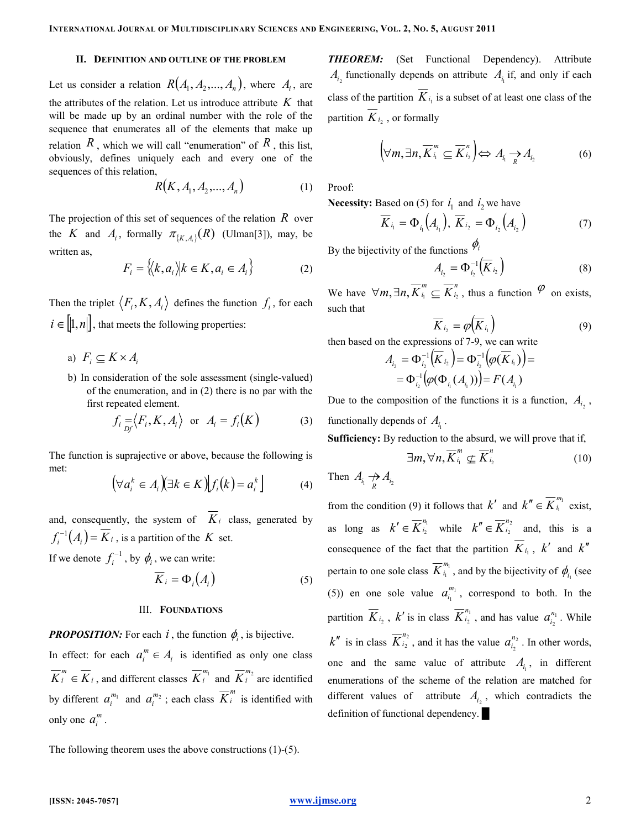#### II. DEFINITION AND OUTLINE OF THE PROBLEM

Let us consider a relation  $R(A_1, A_2, ..., A_n)$ , where  $A_i$ , are the attributes of the relation. Let us introduce attribute  $K$  that will be made up by an ordinal number with the role of the sequence that enumerates all of the elements that make up relation  $R$ , which we will call "enumeration" of  $R$ , this list, obviously, defines uniquely each and every one of the sequences of this relation,

$$
R(K, A_1, A_2, ..., A_n)
$$
 (1)

The projection of this set of sequences of the relation  $R$  over the K and  $A_i$ , formally  $\pi_{\{K, A_i\}}(R)$  (Ulman[3]), may, be written as,

$$
F_i = \langle \langle k, a_i \rangle | k \in K, a_i \in A_i \rangle \tag{2}
$$

Then the triplet  $\langle F_i, K, A_i \rangle$  defines the function  $f_i$ , for each  $i \in [ ]1, n ]$ , that meets the following properties:

- a)  $F_i \subseteq K \times A_i$
- b) In consideration of the sole assessment (single-valued) of the enumeration, and in (2) there is no par with the first repeated element.

$$
f_i = \langle F_i, K, A_i \rangle \text{ or } A_i = f_i(K) \tag{3}
$$

The function is suprajective or above, because the following is met:

$$
\left(\forall a_i^k \in A_i\right) \exists k \in K \left| \int f_i(k) = a_i^k \right] \tag{4}
$$

and, consequently, the system of  $\overline{K}_i$  class, generated by  $f_i^{-1}(A_i) = \overline{K}_i$ , is a partition of the  $K$  set.

If we denote  $f_i^{-1}$ , by  $\phi_i$ , we can write:

$$
K_i = \Phi_i(A_i) \tag{5}
$$

## III. FOUNDATIONS

**PROPOSITION:** For each i, the function  $\phi_i$ , is bijective. In effect: for each  $a_i^m \in A_i$  is identified as only one class i  $\overline{K}_i^m \in \overline{K}_i$ , and different classes  $\overline{K}_i^{m_1}$  and  $\overline{K}_i^{m_2}$  are identified by different  $a_i^{m_1}$  and  $a_i^{m_2}$ ; each class  $\overline{K}_i^m$  is identified with only one  $a_i^m$ .

The following theorem uses the above constructions (1)-(5).

THEOREM: (Set Functional Dependency). Attribute  $A_{i_2}$  functionally depends on attribute  $A_{i_1}$  if, and only if each class of the partition  $\overline{K}_{i_1}$  is a subset of at least one class of the partition  $\overline{K}_{i_2}$ , or formally

$$
\left(\forall m,\exists n,\overline{K}_{i_1}^m\subseteq\overline{K}_{i_2}^n\right)\Leftrightarrow A_{i_1}\underset{R}{\rightarrow}A_{i_2}\tag{6}
$$

Proof:

**Necessity:** Based on (5) for  $i_1$  and  $i_2$  we have

$$
\overline{K}_{i_1} = \Phi_{i_1}(A_{i_1}), \overline{K}_{i_2} = \Phi_{i_2}(A_{i_2})
$$
\n(7)

By the bijectivity of the functions  $\varphi_i$ 

$$
A_{i_2} = \Phi_{i_2}^{-1}(\overline{K}_{i_2})
$$
 (8)

We have  $\forall m, \exists n, \overline{K}_{i_1}^m \subseteq \overline{K}_{i_2}^n$ i  $\forall m, \exists n, \overline{K}_{i_1}^m \subseteq \overline{K}_{i_2}^n$ , thus a function  $\varphi$  on exists, such that

$$
\overline{K}_{i_2} = \varphi\big(\overline{K}_{i_1}\big) \tag{9}
$$

then based on the expressions of 7-9, we can write

$$
A_{i_2} = \Phi_{i_2}^{-1}(\overline{K}_{i_2}) = \Phi_{i_2}^{-1}(\varphi(\overline{K}_{i_1})) =
$$
  
=  $\Phi_{i_2}^{-1}(\varphi(\Phi_{i_1}(A_{i_1})) = F(A_{i_1})$ 

Due to the composition of the functions it is a function,  $A_{i_2}$ , functionally depends of  $A_{i_1}$ .

Sufficiency: By reduction to the absurd, we will prove that if,

$$
\exists m, \forall n, \overline{K}_{i_1}^m \nsubseteq \overline{K}_{i_2}^n \tag{10}
$$

Then  $A_{i_1} \underset{R}{\rightarrow} A_{i_2}$ 

from the condition (9) it follows that  $k'$  and  $k'' \in K_{i_1}^{m_1}$  $k'' \in \overline{K}_{i_1}^{m_1}$  exist, as long as  $k' \in K_{i_2}^{n_1}$  $k' \in \overline{K}_{i_2}^{n_1}$  while  $k'' \in \overline{K}_{i_2}^{n_2}$  $k'' \in \overline{K}_{i_2}^{n_2}$  and, this is a consequence of the fact that the partition  $\overline{K}_{i_1}$ ,  $k'$  and  $k''$ pertain to one sole class  $K_{i_1}^{m_1}$  $\overline{K}_{i_1}^{m_1}$ , and by the bijectivity of  $\phi_{i_1}$  (see (5)) en one sole value  $a_{i_1}^{m_1}$  $a_{i_1}^{m_1}$ , correspond to both. In the partition  $K_{i_2}$ ,  $k'$  is in class  $K_{i_2}^{n_1}$  $\overline{K}_{i_2}^{n_1}$ , and has value  $a_{i_2}^{n_1}$  $a_{i_2}^{n_1}$ . While  $k''$  is in class  $K_{i_2}^{n_2}$  $\overline{K}_{i_2}^{n_2}$ , and it has the value  $a_{i_2}^{n_2}$  $a_{i_2}^{n_2}$ . In other words, one and the same value of attribute  $A_{i_1}$ , in different enumerations of the scheme of the relation are matched for different values of attribute  $A_{i_2}$ , which contradicts the definition of functional dependency.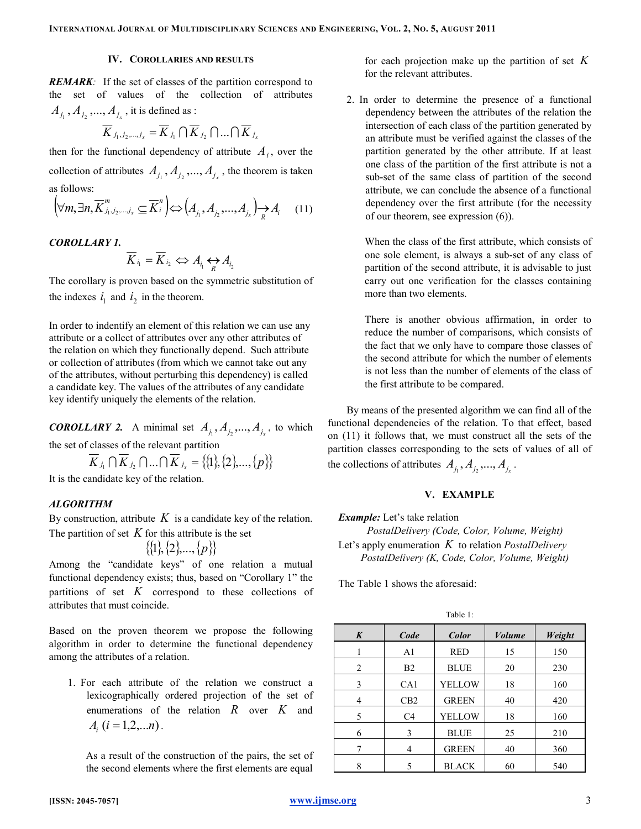# IV. COROLLARIES AND RESULTS

**REMARK:** If the set of classes of the partition correspond to the set of values of the collection of attributes  $A_{j_1}$  ,  $A_{j_2}$  ,...,  $A_{j_x}$  , it is defined as :

$$
\overline{K}_{j_1,j_2,\dots,j_x} = \overline{K}_{j_1} \cap \overline{K}_{j_2} \cap \dots \cap \overline{K}_{j_x}
$$

then for the functional dependency of attribute  $A_i$ , over the collection of attributes  $A_{j_1}, A_{j_2},..., A_{j_x}$ , the theorem is taken as follows:

$$
\left(\forall m, \exists n, \overline{K}_{j_1, j_2, \dots, j_x}^m \subseteq \overline{K}_i^n\right) \Leftrightarrow \left(A_{j_1}, A_{j_2}, \dots, A_{j_x}\right) \xrightarrow[R]{\sim} A_i \quad (11)
$$

#### COROLLARY 1.

$$
\overline{K}_{i_1} = \overline{K}_{i_2} \Leftrightarrow A_{i_1} \Leftrightarrow A_{i_2}
$$

The corollary is proven based on the symmetric substitution of the indexes  $i_1$  and  $i_2$  in the theorem.

In order to indentify an element of this relation we can use any attribute or a collect of attributes over any other attributes of the relation on which they functionally depend. Such attribute or collection of attributes (from which we cannot take out any of the attributes, without perturbing this dependency) is called a candidate key. The values of the attributes of any candidate key identify uniquely the elements of the relation.

**COROLLARY 2.** A minimal set  $A_{j_1}, A_{j_2},..., A_{j_x}$ , to which the set of classes of the relevant partition

$$
\overline{K}_{j_1} \cap \overline{K}_{j_2} \cap ... \cap \overline{K}_{j_x} = \{ \{1\}, \{2\}, ..., \{p\} \}
$$

It is the candidate key of the relation.

# ALGORITHM

By construction, attribute  $K$  is a candidate key of the relation. The partition of set  $K$  for this attribute is the set

$$
\{\{1\},\{2\},...,\{p\}\}\
$$

Among the "candidate keys" of one relation a mutual functional dependency exists; thus, based on "Corollary 1" the partitions of set  $K$  correspond to these collections of attributes that must coincide.

Based on the proven theorem we propose the following algorithm in order to determine the functional dependency among the attributes of a relation.

1. For each attribute of the relation we construct a lexicographically ordered projection of the set of enumerations of the relation  $R$  over  $K$  and  $A_i$  ( $i = 1, 2, \dots n$ ).

As a result of the construction of the pairs, the set of the second elements where the first elements are equal

for each projection make up the partition of set  $K$ for the relevant attributes.

2. In order to determine the presence of a functional dependency between the attributes of the relation the intersection of each class of the partition generated by an attribute must be verified against the classes of the partition generated by the other attribute. If at least one class of the partition of the first attribute is not a sub-set of the same class of partition of the second attribute, we can conclude the absence of a functional dependency over the first attribute (for the necessity of our theorem, see expression (6)).

When the class of the first attribute, which consists of one sole element, is always a sub-set of any class of partition of the second attribute, it is advisable to just carry out one verification for the classes containing more than two elements.

There is another obvious affirmation, in order to reduce the number of comparisons, which consists of the fact that we only have to compare those classes of the second attribute for which the number of elements is not less than the number of elements of the class of the first attribute to be compared.

By means of the presented algorithm we can find all of the functional dependencies of the relation. To that effect, based on (11) it follows that, we must construct all the sets of the partition classes corresponding to the sets of values of all of the collections of attributes  $A_{j_1}, A_{j_2},..., A_{j_x}$ .

## V. EXAMPLE

**Example:** Let's take relation PostalDelivery (Code, Color, Volume, Weight) Let's apply enumeration  $K$  to relation *PostalDelivery* PostalDelivery (K, Code, Color, Volume, Weight)

The Table 1 shows the aforesaid:

Table 1:

| $\boldsymbol{K}$ | Code            | Color         | <b>Volume</b> | Weight |
|------------------|-----------------|---------------|---------------|--------|
|                  | A <sub>1</sub>  | <b>RED</b>    | 15            | 150    |
| $\overline{2}$   | B <sub>2</sub>  | <b>BLUE</b>   | 20            | 230    |
| 3                | CA <sub>1</sub> | <b>YELLOW</b> | 18            | 160    |
| 4                | CB2             | <b>GREEN</b>  | 40            | 420    |
| 5                | C <sub>4</sub>  | <b>YELLOW</b> | 18            | 160    |
| 6                | 3               | <b>BLUE</b>   | 25            | 210    |
| 7                | 4               | <b>GREEN</b>  | 40            | 360    |
| 8                | 5               | <b>BLACK</b>  | 60            | 540    |